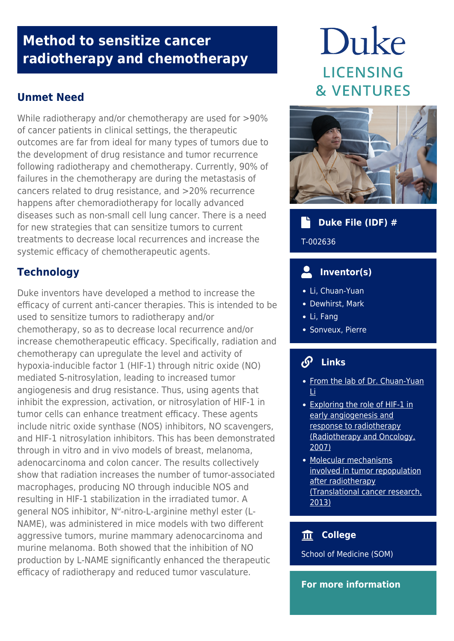# **Method to sensitize cancer radiotherapy and chemotherapy**

# **Unmet Need**

While radiotherapy and/or chemotherapy are used for >90% of cancer patients in clinical settings, the therapeutic outcomes are far from ideal for many types of tumors due to the development of drug resistance and tumor recurrence following radiotherapy and chemotherapy. Currently, 90% of failures in the chemotherapy are during the metastasis of cancers related to drug resistance, and >20% recurrence happens after chemoradiotherapy for locally advanced diseases such as non-small cell lung cancer. There is a need for new strategies that can sensitize tumors to current treatments to decrease local recurrences and increase the systemic efficacy of chemotherapeutic agents.

# **Technology**

Duke inventors have developed a method to increase the efficacy of current anti-cancer therapies. This is intended to be used to sensitize tumors to radiotherapy and/or chemotherapy, so as to decrease local recurrence and/or increase chemotherapeutic efficacy. Specifically, radiation and chemotherapy can upregulate the level and activity of hypoxia-inducible factor 1 (HIF-1) through nitric oxide (NO) mediated S-nitrosylation, leading to increased tumor angiogenesis and drug resistance. Thus, using agents that inhibit the expression, activation, or nitrosylation of HIF-1 in tumor cells can enhance treatment efficacy. These agents include nitric oxide synthase (NOS) inhibitors, NO scavengers, and HIF-1 nitrosylation inhibitors. This has been demonstrated through in vitro and in vivo models of breast, melanoma, adenocarcinoma and colon cancer. The results collectively show that radiation increases the number of tumor-associated macrophages, producing NO through inducible NOS and resulting in HIF-1 stabilization in the irradiated tumor. A general NOS inhibitor, N<sup>ω</sup>-nitro-L-arginine methyl ester (L-NAME), was administered in mice models with two different aggressive tumors, murine mammary adenocarcinoma and murine melanoma. Both showed that the inhibition of NO production by L-NAME significantly enhanced the therapeutic efficacy of radiotherapy and reduced tumor vasculature.

# Duke **LICENSING & VENTURES**



#### **Duke File (IDF) #**

T-002636

#### **Inventor(s)**

- Li, Chuan-Yuan
- Dewhirst, Mark
- Li, Fang
- Sonveux, Pierre

# **Links**

- [From the lab of Dr. Chuan-Yuan](https://dermatology.duke.edu/research/basic-science/li-laboratory) [Li](https://dermatology.duke.edu/research/basic-science/li-laboratory)
- [Exploring the role of HIF-1 in](https://pubmed.ncbi.nlm.nih.gov/17560674/) [early angiogenesis and](https://pubmed.ncbi.nlm.nih.gov/17560674/) [response to radiotherapy](https://pubmed.ncbi.nlm.nih.gov/17560674/) [\(Radiotherapy and Oncology,](https://pubmed.ncbi.nlm.nih.gov/17560674/) [2007\)](https://pubmed.ncbi.nlm.nih.gov/17560674/)
- [Molecular mechanisms](https://pubmed.ncbi.nlm.nih.gov/25599021/) [involved in tumor repopulation](https://pubmed.ncbi.nlm.nih.gov/25599021/) [after radiotherapy](https://pubmed.ncbi.nlm.nih.gov/25599021/) [\(Translational cancer research,](https://pubmed.ncbi.nlm.nih.gov/25599021/) [2013\)](https://pubmed.ncbi.nlm.nih.gov/25599021/)

#### **College**

School of Medicine (SOM)

#### **For more information**